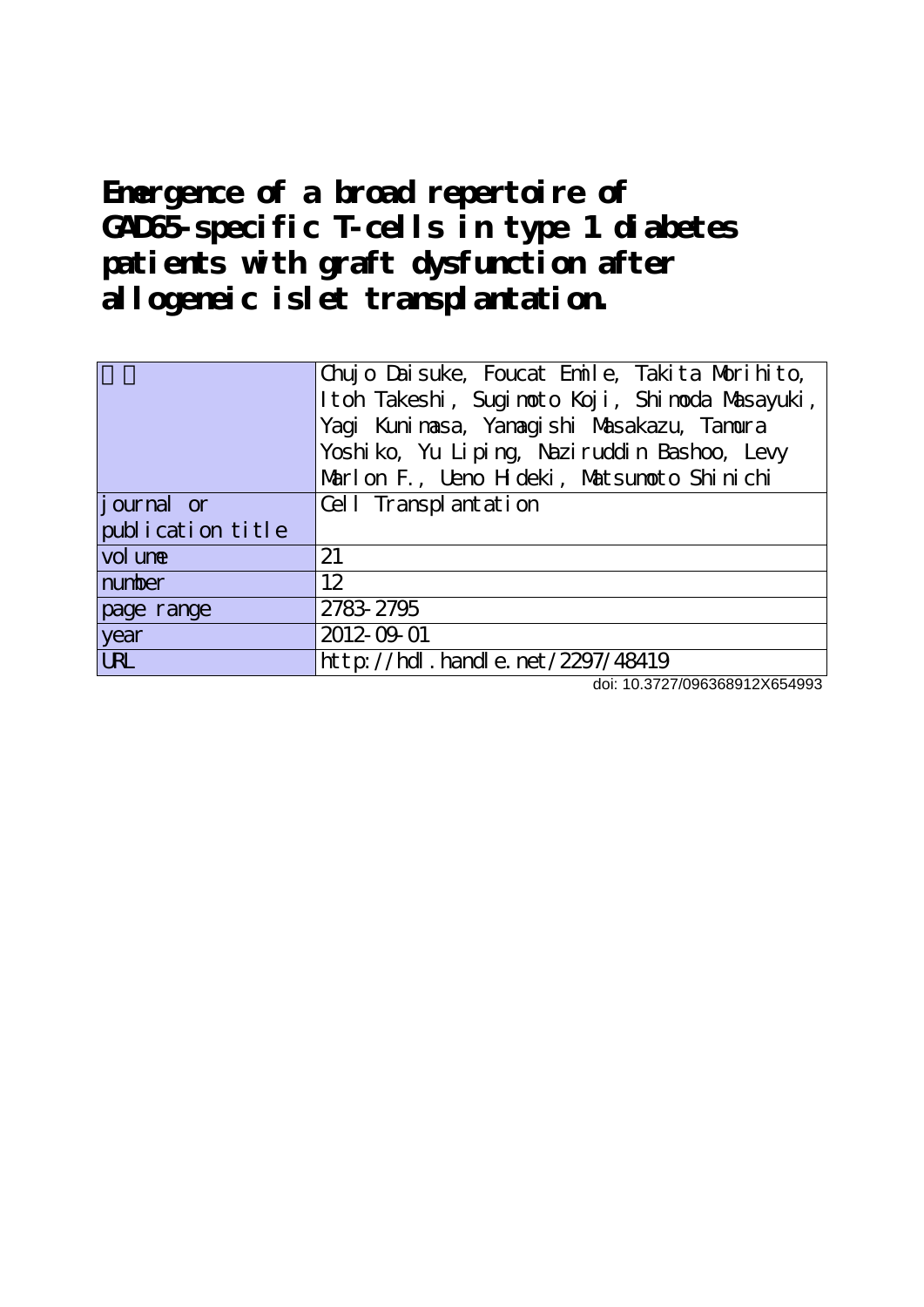# **Emergence of a broad repertoire of GAD65-specific T-cells in type 1 diabetes patients with graft dysfunction after allogeneic islet transplantation.**

|                   | Chujo Daisuke, Foucat Emile, Takita Morihito,<br>Itoh Takeshi, Suginoto Koji, Shinoda Masayuki,<br>Yagi Kuninasa, Yanagishi Masakazu, Tamura<br>Yoshi ko, Yu Li pi ng, Nazi ruddi n Bashoo, Levy<br>Marlon F., Ueno H deki, Matsunoto Shinichi |  |  |  |
|-------------------|------------------------------------------------------------------------------------------------------------------------------------------------------------------------------------------------------------------------------------------------|--|--|--|
| journal or        | Cell Transplantation                                                                                                                                                                                                                           |  |  |  |
| publication title |                                                                                                                                                                                                                                                |  |  |  |
| vol une           | 21                                                                                                                                                                                                                                             |  |  |  |
| number            | 12                                                                                                                                                                                                                                             |  |  |  |
| page range        | 2783-2795                                                                                                                                                                                                                                      |  |  |  |
| year              | 2012-09-01                                                                                                                                                                                                                                     |  |  |  |
| URL               | http://hdl.handle.net/2297/48419                                                                                                                                                                                                               |  |  |  |

doi: 10.3727/096368912X654993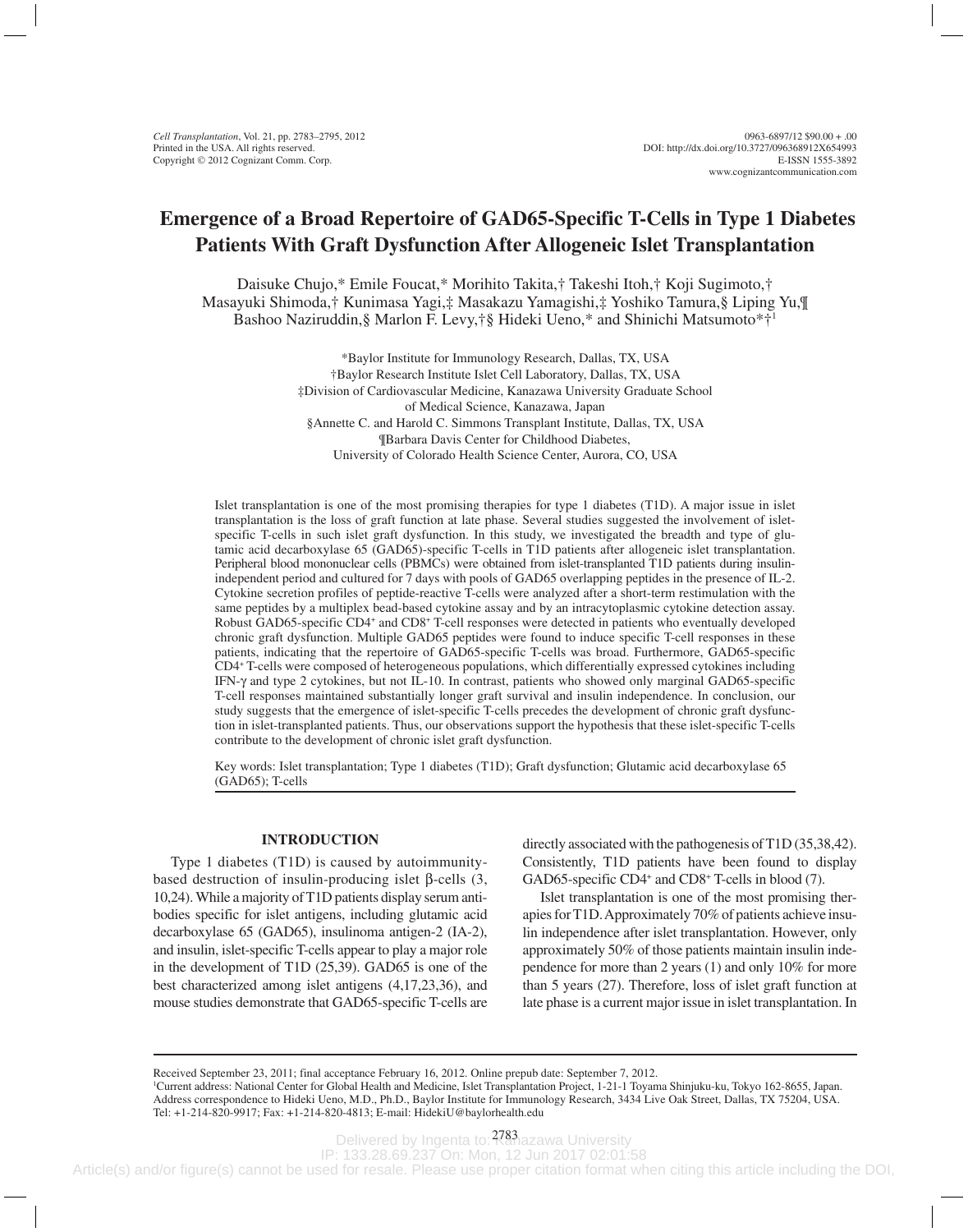# **Emergence of a Broad Repertoire of GAD65-Specific T-Cells in Type 1 Diabetes Patients With Graft Dysfunction After Allogeneic Islet Transplantation**

Daisuke Chujo,\* Emile Foucat,\* Morihito Takita,† Takeshi Itoh,† Koji Sugimoto,† Masayuki Shimoda,† Kunimasa Yagi,‡ Masakazu Yamagishi,‡ Yoshiko Tamura,§ Liping Yu,¶ Bashoo Naziruddin,§ Marlon F. Levy,†§ Hideki Ueno,\* and Shinichi Matsumoto\*†1

> \*Baylor Institute for Immunology Research, Dallas, TX, USA †Baylor Research Institute Islet Cell Laboratory, Dallas, TX, USA ‡Division of Cardiovascular Medicine, Kanazawa University Graduate School of Medical Science, Kanazawa, Japan §Annette C. and Harold C. Simmons Transplant Institute, Dallas, TX, USA ¶Barbara Davis Center for Childhood Diabetes, University of Colorado Health Science Center, Aurora, CO, USA

Islet transplantation is one of the most promising therapies for type 1 diabetes (T1D). A major issue in islet transplantation is the loss of graft function at late phase. Several studies suggested the involvement of isletspecific T-cells in such islet graft dysfunction. In this study, we investigated the breadth and type of glutamic acid decarboxylase 65 (GAD65)-specific T-cells in T1D patients after allogeneic islet transplantation. Peripheral blood mononuclear cells (PBMCs) were obtained from islet-transplanted T1D patients during insulinindependent period and cultured for 7 days with pools of GAD65 overlapping peptides in the presence of IL-2. Cytokine secretion profiles of peptide-reactive T-cells were analyzed after a short-term restimulation with the same peptides by a multiplex bead-based cytokine assay and by an intracytoplasmic cytokine detection assay. Robust GAD65-specific CD4<sup>+</sup> and CD8<sup>+</sup> T-cell responses were detected in patients who eventually developed chronic graft dysfunction. Multiple GAD65 peptides were found to induce specific T-cell responses in these patients, indicating that the repertoire of GAD65-specific T-cells was broad. Furthermore, GAD65-specific CD4+ T-cells were composed of heterogeneous populations, which differentially expressed cytokines including IFN-y and type 2 cytokines, but not IL-10. In contrast, patients who showed only marginal GAD65-specific T-cell responses maintained substantially longer graft survival and insulin independence. In conclusion, our study suggests that the emergence of islet-specific T-cells precedes the development of chronic graft dysfunction in islet-transplanted patients. Thus, our observations support the hypothesis that these islet-specific T-cells contribute to the development of chronic islet graft dysfunction.

Key words: Islet transplantation; Type 1 diabetes (T1D); Graft dysfunction; Glutamic acid decarboxylase 65 (GAD65); T-cells

#### **INTRODUCTION**

Type 1 diabetes (T1D) is caused by autoimmunitybased destruction of insulin-producing islet  $\beta$ -cells (3, 10,24).While a majority of T1D patients display serum antibodies specific for islet antigens, including glutamic acid decarboxylase 65 (GAD65), insulinoma antigen-2 (IA-2), and insulin, islet-specific T-cells appear to play a major role in the development of T1D (25,39). GAD65 is one of the best characterized among islet antigens (4,17,23,36), and mouse studies demonstrate that GAD65-specific T-cells are

directly associated with the pathogenesis of T1D (35,38,42). Consistently, T1D patients have been found to display GAD65-specific CD4<sup>+</sup> and CD8<sup>+</sup> T-cells in blood (7).

Islet transplantation is one of the most promising therapies for T1D. Approximately 70% of patients achieve insulin independence after islet transplantation. However, only approximately 50% of those patients maintain insulin independence for more than 2 years (1) and only 10% for more than 5 years (27). Therefore, loss of islet graft function at late phase is a current major issue in islet transplantation. In

Received September 23, 2011; final acceptance February 16, 2012. Online prepub date: September 7, 2012. 1 Current address: National Center for Global Health and Medicine, Islet Transplantation Project, 1-21-1 Toyama Shinjuku-ku, Tokyo 162-8655, Japan. Address correspondence to Hideki Ueno, M.D., Ph.D., Baylor Institute for Immunology Research, 3434 Live Oak Street, Dallas, TX 75204, USA. Tel: +1-214-820-9917; Fax: +1-214-820-4813; E-mail: HidekiU@baylorhealth.edu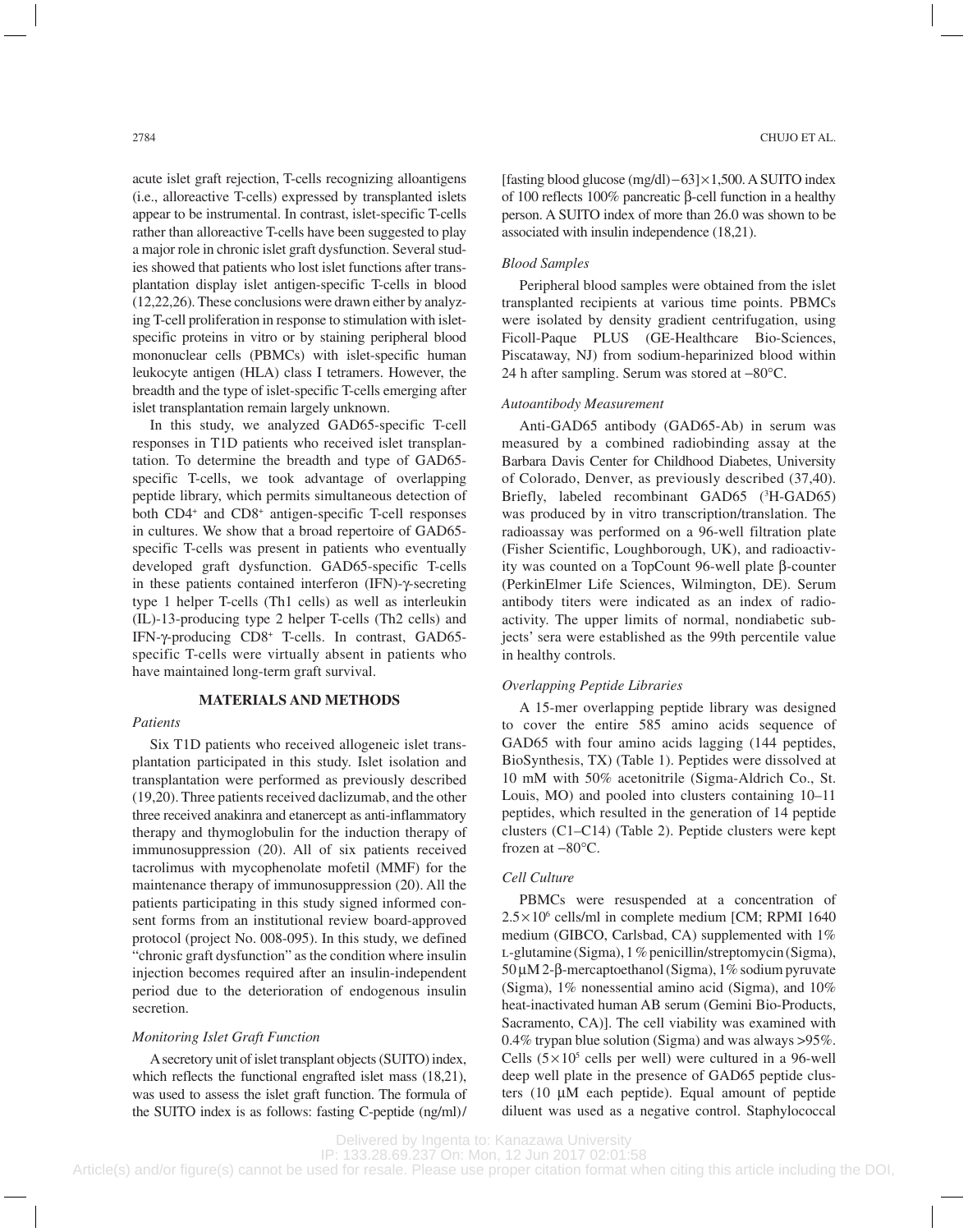acute islet graft rejection, T-cells recognizing alloantigens (i.e., alloreactive T-cells) expressed by transplanted islets appear to be instrumental. In contrast, islet-specific T-cells rather than alloreactive T-cells have been suggested to play a major role in chronic islet graft dysfunction. Several studies showed that patients who lost islet functions after transplantation display islet antigen-specific T-cells in blood (12,22,26). These conclusions were drawn either by analyzing T-cell proliferation in response to stimulation with isletspecific proteins in vitro or by staining peripheral blood mononuclear cells (PBMCs) with islet-specific human leukocyte antigen (HLA) class I tetramers. However, the breadth and the type of islet-specific T-cells emerging after islet transplantation remain largely unknown.

In this study, we analyzed GAD65-specific T-cell responses in T1D patients who received islet transplantation. To determine the breadth and type of GAD65 specific T-cells, we took advantage of overlapping peptide library, which permits simultaneous detection of both CD4+ and CD8+ antigen-specific T-cell responses in cultures. We show that a broad repertoire of GAD65 specific T-cells was present in patients who eventually developed graft dysfunction. GAD65-specific T-cells in these patients contained interferon (IFN)- $\gamma$ -secreting type 1 helper T-cells (Th1 cells) as well as interleukin (IL)-13-producing type 2 helper T-cells (Th2 cells) and IFN-γ-producing CD8<sup>+</sup> T-cells. In contrast, GAD65specific T-cells were virtually absent in patients who have maintained long-term graft survival.

# **MATERIALS AND METHODS**

# *Patients*

Six T1D patients who received allogeneic islet transplantation participated in this study. Islet isolation and transplantation were performed as previously described (19,20). Three patients received daclizumab, and the other three received anakinra and etanercept as anti-inflammatory therapy and thymoglobulin for the induction therapy of immunosuppression (20). All of six patients received tacrolimus with mycophenolate mofetil (MMF) for the maintenance therapy of immunosuppression (20). All the patients participating in this study signed informed consent forms from an institutional review board-approved protocol (project No. 008-095). In this study, we defined "chronic graft dysfunction" as the condition where insulin injection becomes required after an insulin-independent period due to the deterioration of endogenous insulin secretion.

#### *Monitoring Islet Graft Function*

A secretory unit of islet transplant objects (SUITO) index, which reflects the functional engrafted islet mass (18,21), was used to assess the islet graft function. The formula of the SUITO index is as follows: fasting C-peptide (ng/ml)/ [fasting blood glucose  $(mg/dl) - 63] \times 1,500$ . A SUITO index of 100 reflects 100% pancreatic  $\beta$ -cell function in a healthy person. A SUITO index of more than 26.0 was shown to be associated with insulin independence (18,21).

# *Blood Samples*

Peripheral blood samples were obtained from the islet transplanted recipients at various time points. PBMCs were isolated by density gradient centrifugation, using Ficoll-Paque PLUS (GE-Healthcare Bio-Sciences, Piscataway, NJ) from sodium-heparinized blood within 24 h after sampling. Serum was stored at  $-80^{\circ}$ C.

#### *Autoantibody Measurement*

Anti-GAD65 antibody (GAD65-Ab) in serum was measured by a combined radiobinding assay at the Barbara Davis Center for Childhood Diabetes, University of Colorado, Denver, as previously described (37,40). Briefly, labeled recombinant GAD65 (3H-GAD65) was produced by in vitro transcription/translation. The radioassay was performed on a 96-well filtration plate (Fisher Scientific, Loughborough, UK), and radioactivity was counted on a TopCount 96-well plate  $\beta$ -counter (PerkinElmer Life Sciences, Wilmington, DE). Serum antibody titers were indicated as an index of radioactivity. The upper limits of normal, nondiabetic subjects' sera were established as the 99th percentile value in healthy controls.

### *Overlapping Peptide Libraries*

A 15-mer overlapping peptide library was designed to cover the entire 585 amino acids sequence of GAD65 with four amino acids lagging (144 peptides, BioSynthesis, TX) (Table 1). Peptides were dissolved at 10 mM with 50% acetonitrile (Sigma-Aldrich Co., St. Louis, MO) and pooled into clusters containing 10–11 peptides, which resulted in the generation of 14 peptide clusters (C1–C14) (Table 2). Peptide clusters were kept frozen at -80°C.

# *Cell Culture*

PBMCs were resuspended at a concentration of  $2.5 \times 10^6$  cells/ml in complete medium [CM; RPMI 1640 medium (GIBCO, Carlsbad, CA) supplemented with 1% l-glutamine (Sigma), 1 % penicillin/streptomycin (Sigma), 50 μM 2-β-mercaptoethanol (Sigma),  $1\%$  sodium pyruvate (Sigma), 1% nonessential amino acid (Sigma), and 10% heat-inactivated human AB serum (Gemini Bio-Products, Sacramento, CA)]. The cell viability was examined with 0.4% trypan blue solution (Sigma) and was always >95%. Cells  $(5 \times 10^5 \text{ cells per well})$  were cultured in a 96-well deep well plate in the presence of GAD65 peptide clusters  $(10 \mu M)$  each peptide). Equal amount of peptide diluent was used as a negative control. Staphylococcal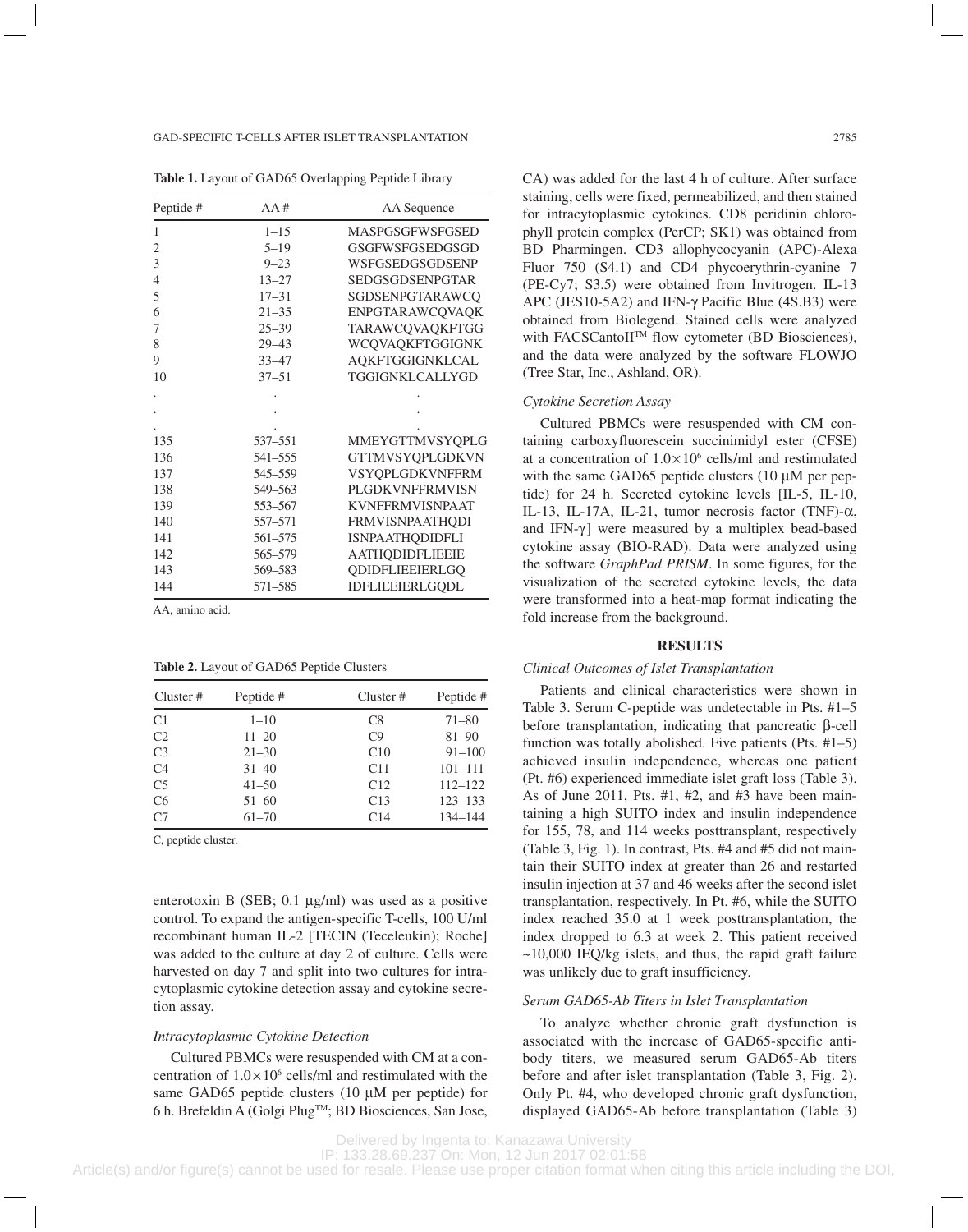| Peptide#       | AA#       | AA Sequence            |
|----------------|-----------|------------------------|
| 1              | $1 - 15$  | MASPGSGFWSFGSED        |
| $\overline{2}$ | $5 - 19$  | GSGFWSFGSEDGSGD        |
| 3              | $9 - 23$  | WSFGSEDGSGDSENP        |
| $\overline{4}$ | $13 - 27$ | <b>SEDGSGDSENPGTAR</b> |
| 5              | $17 - 31$ | SGDSENPGTARAWCQ        |
| 6              | $21 - 35$ | <b>ENPGTARAWCQVAQK</b> |
| 7              | $25 - 39$ | TARAWCOVAOKFTGG        |
| 8              | $29 - 43$ | WCQVAQKFTGGIGNK        |
| 9              | $33 - 47$ | AQKFTGGIGNKLCAL        |
| 10             | $37 - 51$ | <b>TGGIGNKLCALLYGD</b> |
|                |           |                        |
|                |           |                        |
|                |           |                        |
| 135            | 537-551   | MMEYGTTMVSYQPLG        |
| 136            | 541-555   | GTTMVSYQPLGDKVN        |
| 137            | 545-559   | VSYQPLGDKVNFFRM        |
| 138            | 549-563   | <b>PLGDKVNFFRMVISN</b> |
| 139            | 553-567   | <b>KVNFFRMVISNPAAT</b> |
| 140            | 557-571   | <b>FRMVISNPAATHODI</b> |
| 141            | 561-575   | <b>ISNPAATHQDIDFLI</b> |
| 142            | 565-579   | <b>AATHQDIDFLIEEIE</b> |
| 143            | 569-583   | QDIDFLIEEIERLGQ        |
| 144            | 571-585   | <b>IDFLIEEIERLGODL</b> |

**Table 1.** Layout of GAD65 Overlapping Peptide Library

AA, amino acid.

**Table 2.** Layout of GAD65 Peptide Clusters

| Cluster $#$    | Peptide # | Cluster $#$ | Peptide #   |
|----------------|-----------|-------------|-------------|
| C <sub>1</sub> | $1 - 10$  | C8          | $71 - 80$   |
| C <sub>2</sub> | $11 - 20$ | C9          | $81 - 90$   |
| C <sub>3</sub> | $21 - 30$ | C10         | $91 - 100$  |
| C <sub>4</sub> | $31 - 40$ | C11         | $101 - 111$ |
| C <sub>5</sub> | $41 - 50$ | C12         | $112 - 122$ |
| C <sub>6</sub> | $51 - 60$ | C13         | $123 - 133$ |
| C <sub>7</sub> | $61 - 70$ | C14         | 134-144     |

C, peptide cluster.

enterotoxin B (SEB;  $0.1 \mu$ g/ml) was used as a positive control. To expand the antigen-specific T-cells, 100 U/ml recombinant human IL-2 [TECIN (Teceleukin); Roche] was added to the culture at day 2 of culture. Cells were harvested on day 7 and split into two cultures for intracytoplasmic cytokine detection assay and cytokine secretion assay.

#### *Intracytoplasmic Cytokine Detection*

Cultured PBMCs were resuspended with CM at a concentration of  $1.0 \times 10^6$  cells/ml and restimulated with the same GAD65 peptide clusters  $(10 \mu M)$  per peptide) for 6 h. Brefeldin A (Golgi Plug™; BD Biosciences, San Jose,

CA) was added for the last 4 h of culture. After surface staining, cells were fixed, permeabilized, and then stained for intracytoplasmic cytokines. CD8 peridinin chlorophyll protein complex (PerCP; SK1) was obtained from BD Pharmingen. CD3 allophycocyanin (APC)-Alexa Fluor 750 (S4.1) and CD4 phycoerythrin-cyanine 7 (PE-Cy7; S3.5) were obtained from Invitrogen. IL-13 APC (JES10-5A2) and IFN- $\gamma$  Pacific Blue (4S.B3) were obtained from Biolegend. Stained cells were analyzed with FACSCantoII™ flow cytometer (BD Biosciences), and the data were analyzed by the software FLOWJO (Tree Star, Inc., Ashland, OR).

#### *Cytokine Secretion Assay*

Cultured PBMCs were resuspended with CM containing carboxyfluorescein succinimidyl ester (CFSE) at a concentration of  $1.0 \times 10^6$  cells/ml and restimulated with the same GAD65 peptide clusters  $(10 \mu M)$  per peptide) for 24 h. Secreted cytokine levels [IL-5, IL-10, IL-13, IL-17A, IL-21, tumor necrosis factor (TNF)-a, and IFN- $\gamma$ ] were measured by a multiplex bead-based cytokine assay (BIO-RAD). Data were analyzed using the software *GraphPad PRISM*. In some figures, for the visualization of the secreted cytokine levels, the data were transformed into a heat-map format indicating the fold increase from the background.

#### **RESULTS**

#### *Clinical Outcomes of Islet Transplantation*

Patients and clinical characteristics were shown in Table 3. Serum C-peptide was undetectable in Pts. #1–5 before transplantation, indicating that pancreatic  $\beta$ -cell function was totally abolished. Five patients (Pts. #1–5) achieved insulin independence, whereas one patient (Pt. #6) experienced immediate islet graft loss (Table 3). As of June 2011, Pts. #1, #2, and #3 have been maintaining a high SUITO index and insulin independence for 155, 78, and 114 weeks posttransplant, respectively (Table 3, Fig. 1). In contrast, Pts. #4 and #5 did not maintain their SUITO index at greater than 26 and restarted insulin injection at 37 and 46 weeks after the second islet transplantation, respectively. In Pt. #6, while the SUITO index reached 35.0 at 1 week posttransplantation, the index dropped to 6.3 at week 2. This patient received ~10,000 IEQ/kg islets, and thus, the rapid graft failure was unlikely due to graft insufficiency.

#### *Serum GAD65-Ab Titers in Islet Transplantation*

To analyze whether chronic graft dysfunction is associated with the increase of GAD65-specific antibody titers, we measured serum GAD65-Ab titers before and after islet transplantation (Table 3, Fig. 2). Only Pt. #4, who developed chronic graft dysfunction, displayed GAD65-Ab before transplantation (Table 3)

IP: 133.28.69.237 On: Mon, 12 Jun 2017 02:01:58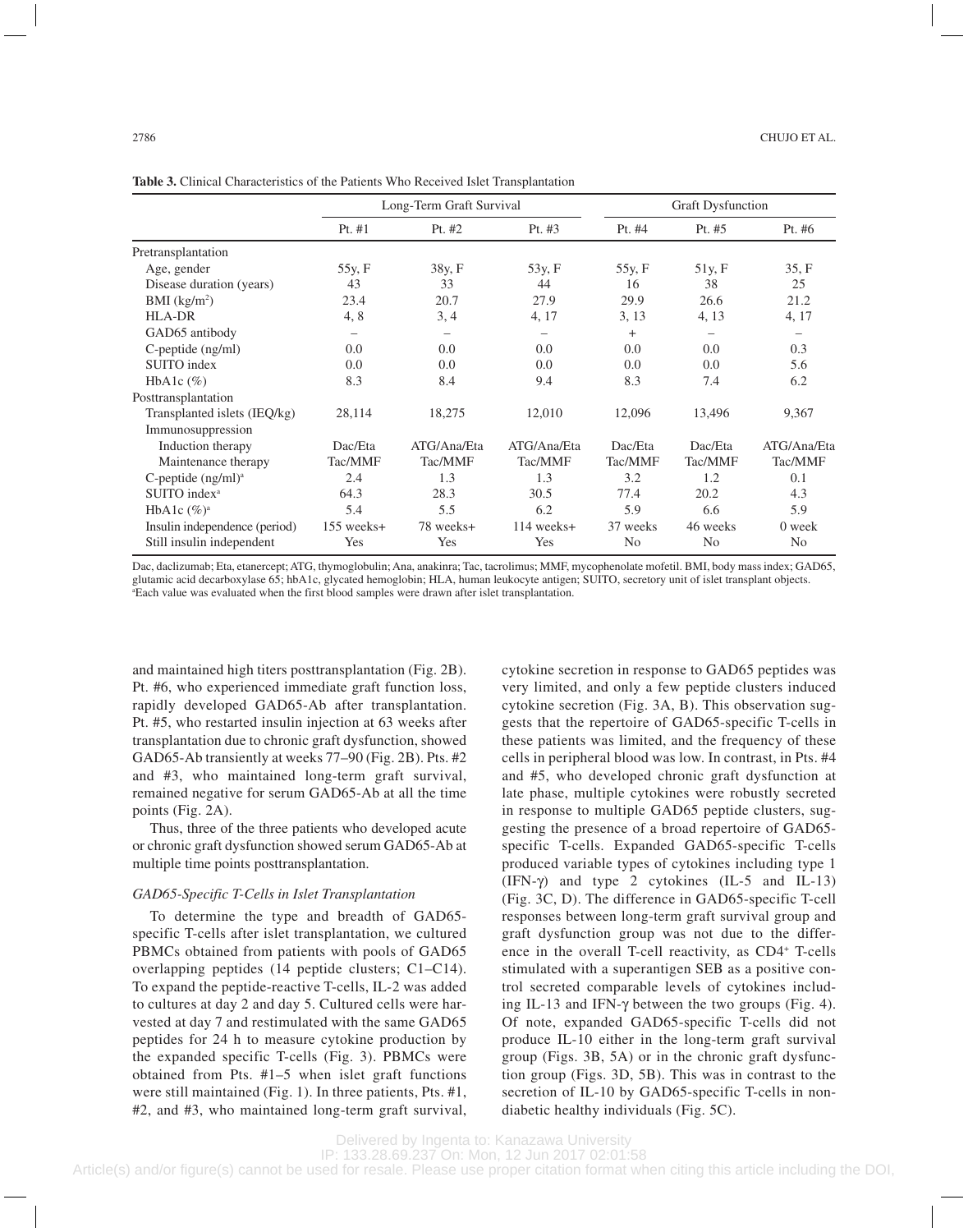|                               | Long-Term Graft Survival |             |              | <b>Graft Dysfunction</b> |                 |                          |
|-------------------------------|--------------------------|-------------|--------------|--------------------------|-----------------|--------------------------|
|                               | Pt. #1                   | Pt. $#2$    | Pt. #3       | Pt. #4                   | Pt. $#5$        | Pt. $#6$                 |
| Pretransplantation            |                          |             |              |                          |                 |                          |
| Age, gender                   | 55y, F                   | 38y, F      | 53y, F       | 55y, F                   | 51y, F          | 35, F                    |
| Disease duration (years)      | 43                       | 33          | 44           | 16                       | 38              | 25                       |
| $BMI$ (kg/m <sup>2</sup> )    | 23.4                     | 20.7        | 27.9         | 29.9                     | 26.6            | 21.2                     |
| <b>HLA-DR</b>                 | 4,8                      | 3, 4        | 4, 17        | 3, 13                    | 4, 13           | 4, 17                    |
| GAD65 antibody                | $\overline{\phantom{m}}$ |             |              | $^{+}$                   | $\qquad \qquad$ | $\overline{\phantom{m}}$ |
| $C$ -peptide $(ng/ml)$        | 0.0                      | 0.0         | 0.0          | 0.0                      | 0.0             | 0.3                      |
| SUITO index                   | 0.0                      | 0.0         | 0.0          | 0.0                      | 0.0             | 5.6                      |
| HbA1c $(\%)$                  | 8.3                      | 8.4         | 9.4          | 8.3                      | 7.4             | 6.2                      |
| Posttransplantation           |                          |             |              |                          |                 |                          |
| Transplanted islets (IEQ/kg)  | 28,114                   | 18,275      | 12,010       | 12,096                   | 13,496          | 9,367                    |
| Immunosuppression             |                          |             |              |                          |                 |                          |
| Induction therapy             | Dac/Eta                  | ATG/Ana/Eta | ATG/Ana/Eta  | Dac/Eta                  | Dac/Eta         | ATG/Ana/Eta              |
| Maintenance therapy           | Tac/MMF                  | Tac/MMF     | Tac/MMF      | Tac/MMF                  | Tac/MMF         | Tac/MMF                  |
| C-peptide $(ng/ml)^a$         | 2.4                      | 1.3         | 1.3          | 3.2                      | 1.2             | 0.1                      |
| SUITO index <sup>a</sup>      | 64.3                     | 28.3        | 30.5         | 77.4                     | 20.2            | 4.3                      |
| HbA1c $(\%)^a$                | 5.4                      | 5.5         | 6.2          | 5.9                      | 6.6             | 5.9                      |
| Insulin independence (period) | $155$ weeks+             | 78 weeks+   | $114$ weeks+ | 37 weeks                 | 46 weeks        | 0 week                   |
| Still insulin independent     | Yes                      | Yes         | Yes          | N <sub>0</sub>           | N <sub>0</sub>  | N <sub>0</sub>           |

**Table 3.** Clinical Characteristics of the Patients Who Received Islet Transplantation

Dac, daclizumab; Eta, etanercept; ATG, thymoglobulin; Ana, anakinra; Tac, tacrolimus; MMF, mycophenolate mofetil. BMI, body mass index; GAD65, glutamic acid decarboxylase 65; hbA1c, glycated hemoglobin; HLA, human leukocyte antigen; SUITO, secretory unit of islet transplant objects. a Each value was evaluated when the first blood samples were drawn after islet transplantation.

and maintained high titers posttransplantation (Fig. 2B). Pt. #6, who experienced immediate graft function loss, rapidly developed GAD65-Ab after transplantation. Pt. #5, who restarted insulin injection at 63 weeks after transplantation due to chronic graft dysfunction, showed GAD65-Ab transiently at weeks 77–90 (Fig. 2B). Pts. #2 and #3, who maintained long-term graft survival, remained negative for serum GAD65-Ab at all the time points (Fig. 2A).

Thus, three of the three patients who developed acute or chronic graft dysfunction showed serum GAD65-Ab at multiple time points posttransplantation.

#### *GAD65-Specific T-Cells in Islet Transplantation*

To determine the type and breadth of GAD65 specific T-cells after islet transplantation, we cultured PBMCs obtained from patients with pools of GAD65 overlapping peptides (14 peptide clusters; C1–C14). To expand the peptide-reactive T-cells, IL-2 was added to cultures at day 2 and day 5. Cultured cells were harvested at day 7 and restimulated with the same GAD65 peptides for 24 h to measure cytokine production by the expanded specific T-cells (Fig. 3). PBMCs were obtained from Pts. #1–5 when islet graft functions were still maintained (Fig. 1). In three patients, Pts. #1, #2, and #3, who maintained long-term graft survival,

cytokine secretion in response to GAD65 peptides was very limited, and only a few peptide clusters induced cytokine secretion (Fig. 3A, B). This observation suggests that the repertoire of GAD65-specific T-cells in these patients was limited, and the frequency of these cells in peripheral blood was low. In contrast, in Pts. #4 and #5, who developed chronic graft dysfunction at late phase, multiple cytokines were robustly secreted in response to multiple GAD65 peptide clusters, suggesting the presence of a broad repertoire of GAD65 specific T-cells. Expanded GAD65-specific T-cells produced variable types of cytokines including type 1  $(IFN-\gamma)$  and type 2 cytokines  $(IL-5$  and  $IL-13)$ (Fig. 3C, D). The difference in GAD65-specific T-cell responses between long-term graft survival group and graft dysfunction group was not due to the difference in the overall T-cell reactivity, as CD4+ T-cells stimulated with a superantigen SEB as a positive control secreted comparable levels of cytokines including IL-13 and IFN- $\gamma$  between the two groups (Fig. 4). Of note, expanded GAD65-specific T-cells did not produce IL-10 either in the long-term graft survival group (Figs. 3B, 5A) or in the chronic graft dysfunction group (Figs. 3D, 5B). This was in contrast to the secretion of IL-10 by GAD65-specific T-cells in nondiabetic healthy individuals (Fig. 5C).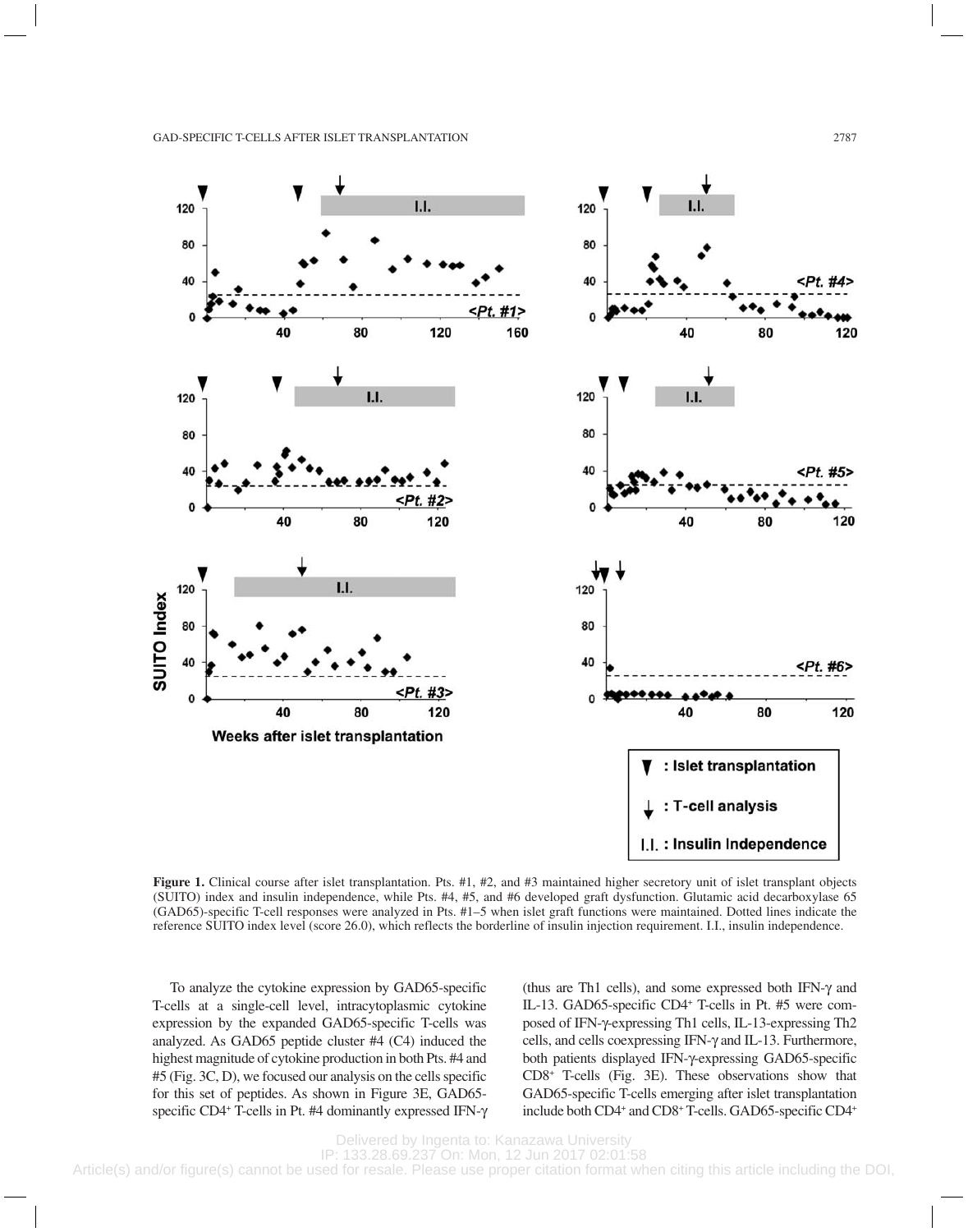

**Figure 1.** Clinical course after islet transplantation. Pts. #1, #2, and #3 maintained higher secretory unit of islet transplant objects (SUITO) index and insulin independence, while Pts. #4, #5, and #6 developed graft dysfunction. Glutamic acid decarboxylase 65 (GAD65)-specific T-cell responses were analyzed in Pts. #1–5 when islet graft functions were maintained. Dotted lines indicate the reference SUITO index level (score 26.0), which reflects the borderline of insulin injection requirement. I.I., insulin independence.

To analyze the cytokine expression by GAD65-specific T-cells at a single-cell level, intracytoplasmic cytokine expression by the expanded GAD65-specific T-cells was analyzed. As GAD65 peptide cluster #4 (C4) induced the highest magnitude of cytokine production in both Pts. #4 and #5 (Fig. 3C, D), we focused our analysis on the cells specific for this set of peptides. As shown in Figure 3E, GAD65 specific CD4<sup>+</sup> T-cells in Pt. #4 dominantly expressed IFN-γ

(thus are Th1 cells), and some expressed both IFN- $\gamma$  and IL-13. GAD65-specific CD4+ T-cells in Pt. #5 were composed of IFN-g-expressing Th1 cells, IL-13-expressing Th2 cells, and cells coexpressing IFN-g and IL-13. Furthermore, both patients displayed IFN-γ-expressing GAD65-specific CD8+ T-cells (Fig. 3E). These observations show that GAD65-specific T-cells emerging after islet transplantation include both CD4<sup>+</sup> and CD8<sup>+</sup> T-cells. GAD65-specific CD4<sup>+</sup>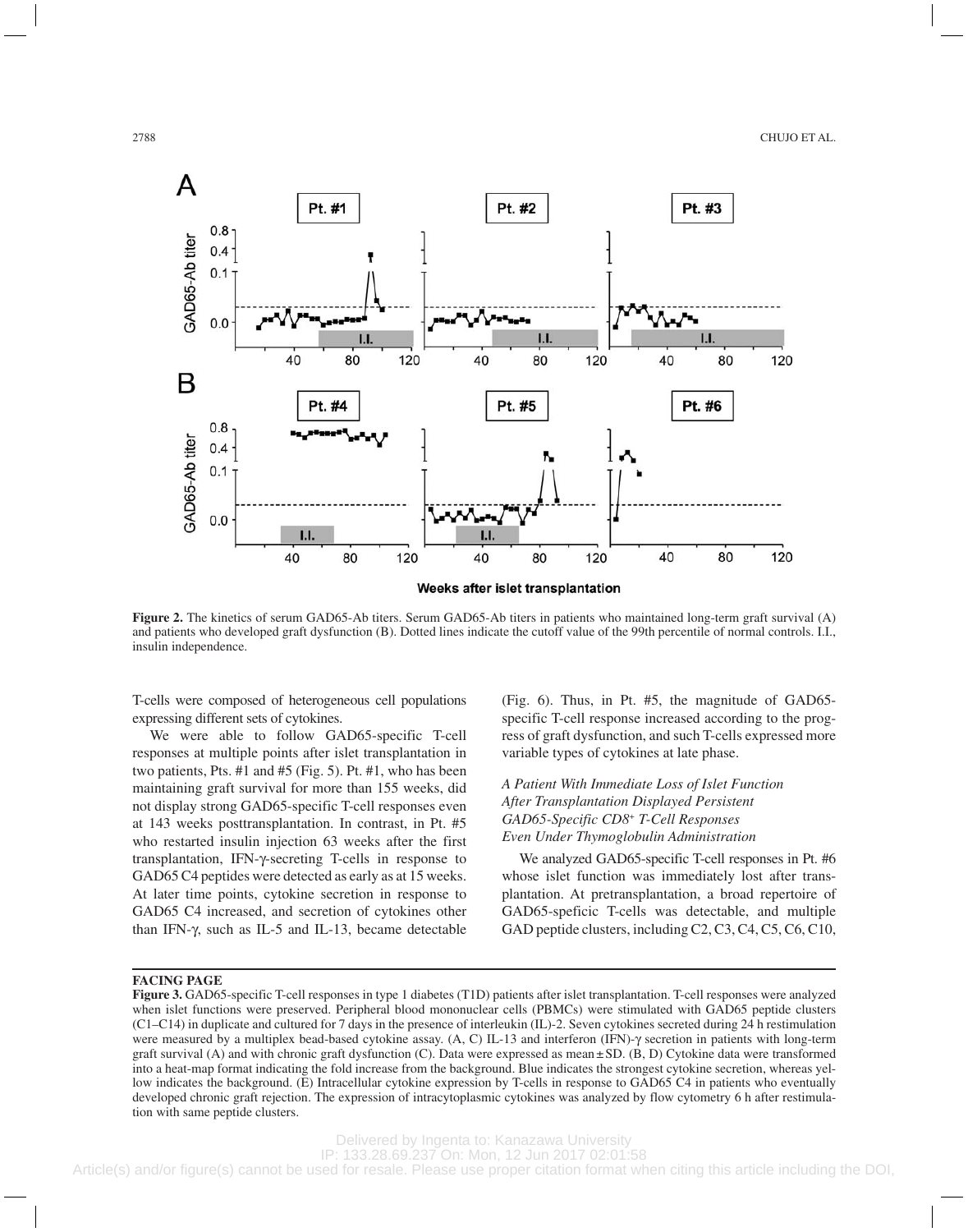

**Figure 2.** The kinetics of serum GAD65-Ab titers. Serum GAD65-Ab titers in patients who maintained long-term graft survival (A) and patients who developed graft dysfunction (B). Dotted lines indicate the cutoff value of the 99th percentile of normal controls. I.I., insulin independence.

T-cells were composed of heterogeneous cell populations expressing different sets of cytokines.

We were able to follow GAD65-specific T-cell responses at multiple points after islet transplantation in two patients, Pts. #1 and #5 (Fig. 5). Pt. #1, who has been maintaining graft survival for more than 155 weeks, did not display strong GAD65-specific T-cell responses even at 143 weeks posttransplantation. In contrast, in Pt. #5 who restarted insulin injection 63 weeks after the first transplantation, IFN-g-secreting T-cells in response to GAD65 C4 peptides were detected as early as at 15 weeks. At later time points, cytokine secretion in response to GAD65 C4 increased, and secretion of cytokines other than IFN- $\gamma$ , such as IL-5 and IL-13, became detectable

(Fig. 6). Thus, in Pt. #5, the magnitude of GAD65 specific T-cell response increased according to the progress of graft dysfunction, and such T-cells expressed more variable types of cytokines at late phase.

*A Patient With Immediate Loss of Islet Function After Transplantation Displayed Persistent GAD65-Specific CD8+ T-Cell Responses Even Under Thymoglobulin Administration*

We analyzed GAD65-specific T-cell responses in Pt. #6 whose islet function was immediately lost after transplantation. At pretransplantation, a broad repertoire of GAD65-speficic T-cells was detectable, and multiple GAD peptide clusters, including C2, C3, C4, C5, C6, C10,

# **FACING PAGE**

Figure 3. GAD65-specific T-cell responses in type 1 diabetes (T1D) patients after islet transplantation. T-cell responses were analyzed when islet functions were preserved. Peripheral blood mononuclear cells (PBMCs) were stimulated with GAD65 peptide clusters (C1–C14) in duplicate and cultured for 7 days in the presence of interleukin (IL)-2. Seven cytokines secreted during 24 h restimulation were measured by a multiplex bead-based cytokine assay.  $(A, C)$  IL-13 and interferon (IFN)- $\gamma$  secretion in patients with long-term graft survival (A) and with chronic graft dysfunction (C). Data were expressed as mean±SD. (B, D) Cytokine data were transformed into a heat-map format indicating the fold increase from the background. Blue indicates the strongest cytokine secretion, whereas yellow indicates the background. (E) Intracellular cytokine expression by T-cells in response to GAD65 C4 in patients who eventually developed chronic graft rejection. The expression of intracytoplasmic cytokines was analyzed by flow cytometry 6 h after restimulation with same peptide clusters.

Article(s) and/or figure(s) cannot be used for resale. Please use proper citation format when citing this article including the DOI,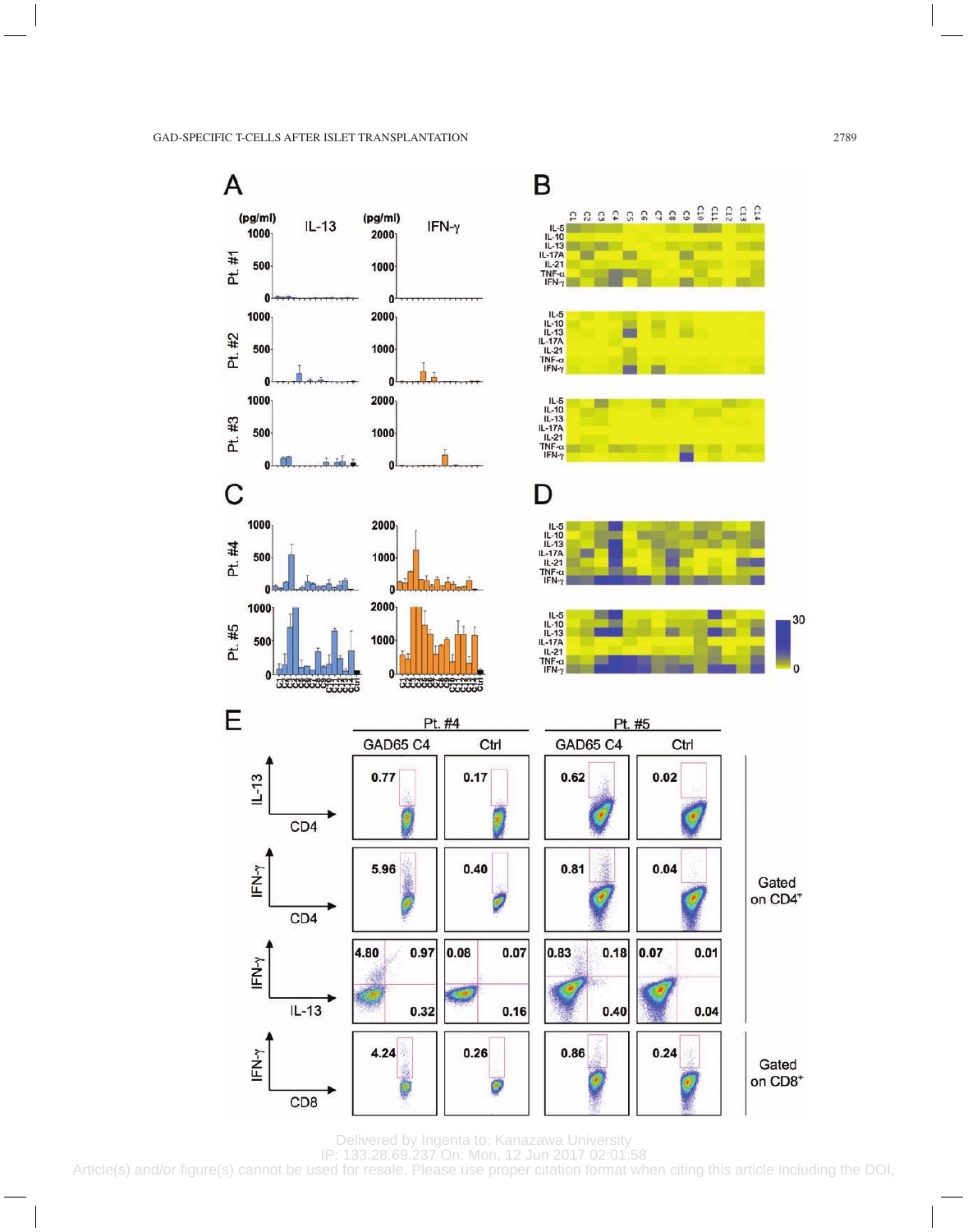

Delivered by Ingenta to: Kanazawa University

IP: 133.28.69.237 On: Mon, 12 Jun 2017 02:01:58

Article(s) and/or figure(s) cannot be used for resale. Please use proper citation format when citing this article including the DOI,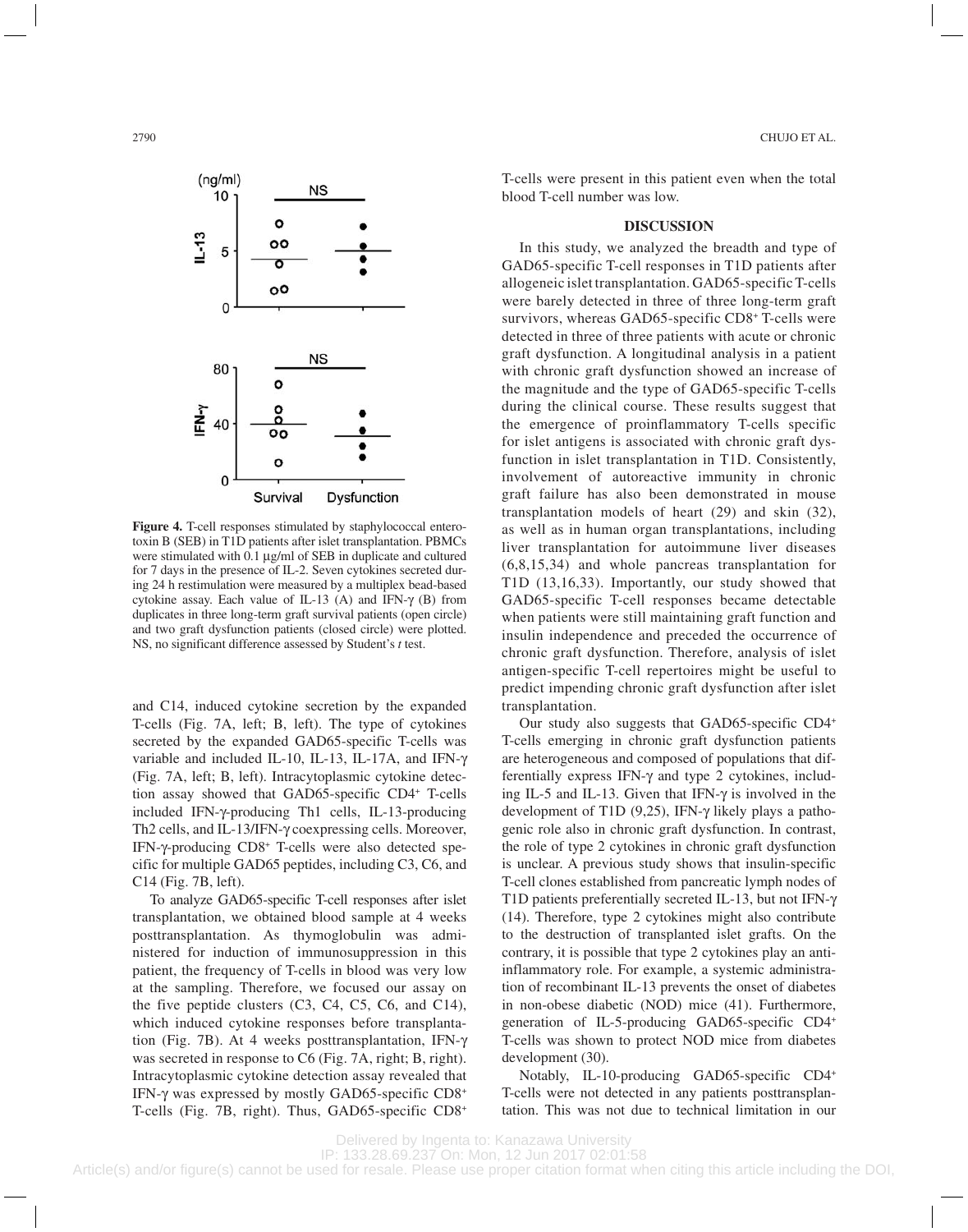

**Figure 4.** T-cell responses stimulated by staphylococcal enterotoxin B (SEB) in T1D patients after islet transplantation. PBMCs were stimulated with 0.1 µg/ml of SEB in duplicate and cultured for 7 days in the presence of IL-2. Seven cytokines secreted during 24 h restimulation were measured by a multiplex bead-based cytokine assay. Each value of IL-13 (A) and IFN- $\gamma$  (B) from duplicates in three long-term graft survival patients (open circle) and two graft dysfunction patients (closed circle) were plotted. NS, no significant difference assessed by Student's *t* test.

and C14, induced cytokine secretion by the expanded T-cells (Fig. 7A, left; B, left). The type of cytokines secreted by the expanded GAD65-specific T-cells was variable and included IL-10, IL-13, IL-17A, and IFN-g (Fig. 7A, left; B, left). Intracytoplasmic cytokine detection assay showed that GAD65-specific CD4+ T-cells included IFN-g-producing Th1 cells, IL-13-producing Th2 cells, and IL-13/IFN-g coexpressing cells. Moreover, IFN-γ-producing CD8<sup>+</sup> T-cells were also detected specific for multiple GAD65 peptides, including C3, C6, and C14 (Fig. 7B, left).

To analyze GAD65-specific T-cell responses after islet transplantation, we obtained blood sample at 4 weeks posttransplantation. As thymoglobulin was administered for induction of immunosuppression in this patient, the frequency of T-cells in blood was very low at the sampling. Therefore, we focused our assay on the five peptide clusters (C3, C4, C5, C6, and C14), which induced cytokine responses before transplantation (Fig. 7B). At 4 weeks posttransplantation, IFN-g was secreted in response to C6 (Fig. 7A, right; B, right). Intracytoplasmic cytokine detection assay revealed that IFN- $\gamma$  was expressed by mostly GAD65-specific CD8<sup>+</sup> T-cells (Fig. 7B, right). Thus, GAD65-specific CD8+

T-cells were present in this patient even when the total blood T-cell number was low.

#### **DISCUSSION**

In this study, we analyzed the breadth and type of GAD65-specific T-cell responses in T1D patients after allogeneic islet transplantation. GAD65-specific T-cells were barely detected in three of three long-term graft survivors, whereas GAD65-specific CD8+ T-cells were detected in three of three patients with acute or chronic graft dysfunction. A longitudinal analysis in a patient with chronic graft dysfunction showed an increase of the magnitude and the type of GAD65-specific T-cells during the clinical course. These results suggest that the emergence of proinflammatory T-cells specific for islet antigens is associated with chronic graft dysfunction in islet transplantation in T1D. Consistently, involvement of autoreactive immunity in chronic graft failure has also been demonstrated in mouse transplantation models of heart (29) and skin (32), as well as in human organ transplantations, including liver transplantation for autoimmune liver diseases (6,8,15,34) and whole pancreas transplantation for T1D (13,16,33). Importantly, our study showed that GAD65-specific T-cell responses became detectable when patients were still maintaining graft function and insulin independence and preceded the occurrence of chronic graft dysfunction. Therefore, analysis of islet antigen-specific T-cell repertoires might be useful to predict impending chronic graft dysfunction after islet transplantation.

Our study also suggests that GAD65-specific CD4+ T-cells emerging in chronic graft dysfunction patients are heterogeneous and composed of populations that differentially express IFN- $\gamma$  and type 2 cytokines, including IL-5 and IL-13. Given that IFN- $\gamma$  is involved in the development of T1D  $(9,25)$ , IFN- $\gamma$  likely plays a pathogenic role also in chronic graft dysfunction. In contrast, the role of type 2 cytokines in chronic graft dysfunction is unclear. A previous study shows that insulin-specific T-cell clones established from pancreatic lymph nodes of T1D patients preferentially secreted IL-13, but not IFN- $\gamma$ (14). Therefore, type 2 cytokines might also contribute to the destruction of transplanted islet grafts. On the contrary, it is possible that type 2 cytokines play an antiinflammatory role. For example, a systemic administration of recombinant IL-13 prevents the onset of diabetes in non-obese diabetic (NOD) mice (41). Furthermore, generation of IL-5-producing GAD65-specific CD4+ T-cells was shown to protect NOD mice from diabetes development (30).

Notably, IL-10-producing GAD65-specific CD4+ T-cells were not detected in any patients posttransplantation. This was not due to technical limitation in our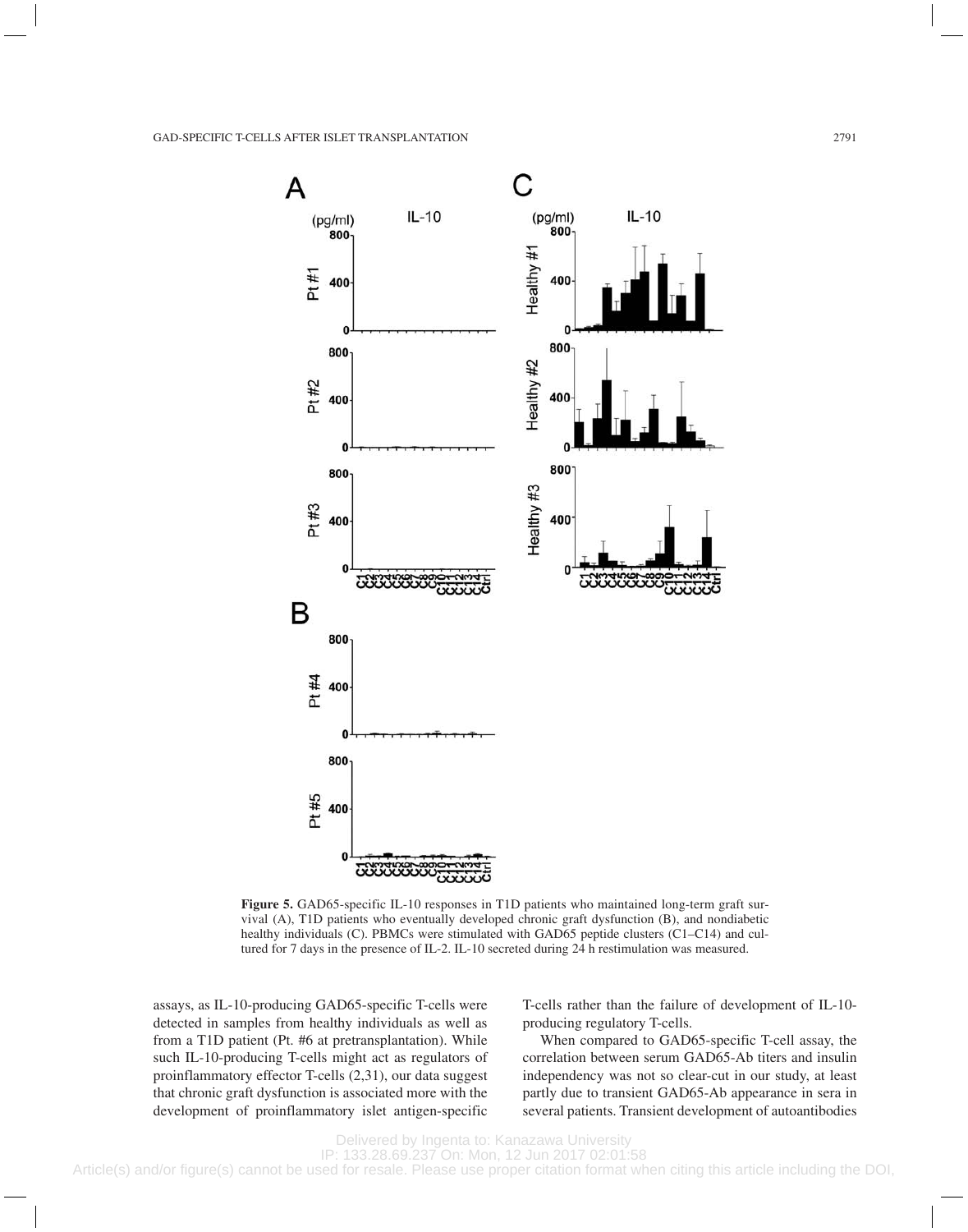

Figure 5. GAD65-specific IL-10 responses in T1D patients who maintained long-term graft survival (A), T1D patients who eventually developed chronic graft dysfunction (B), and nondiabetic healthy individuals (C). PBMCs were stimulated with GAD65 peptide clusters (C1–C14) and cultured for 7 days in the presence of IL-2. IL-10 secreted during 24 h restimulation was measured.

assays, as IL-10-producing GAD65-specific T-cells were detected in samples from healthy individuals as well as from a T1D patient (Pt. #6 at pretransplantation). While such IL-10-producing T-cells might act as regulators of proinflammatory effector T-cells (2,31), our data suggest that chronic graft dysfunction is associated more with the development of proinflammatory islet antigen-specific

T-cells rather than the failure of development of IL-10 producing regulatory T-cells.

When compared to GAD65-specific T-cell assay, the correlation between serum GAD65-Ab titers and insulin independency was not so clear-cut in our study, at least partly due to transient GAD65-Ab appearance in sera in several patients. Transient development of autoantibodies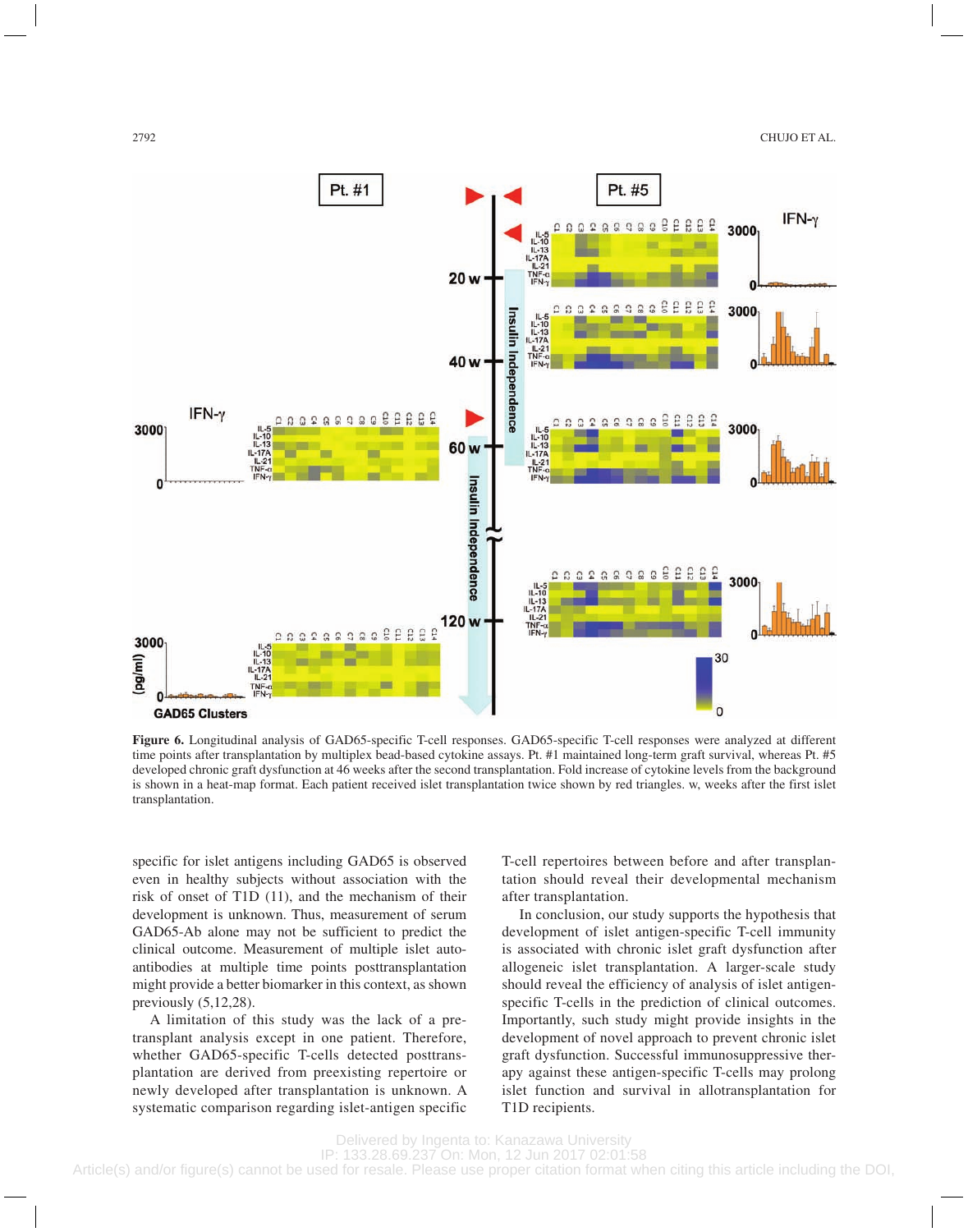

**Figure 6.** Longitudinal analysis of GAD65-specific T-cell responses. GAD65-specific T-cell responses were analyzed at different time points after transplantation by multiplex bead-based cytokine assays. Pt. #1 maintained long-term graft survival, whereas Pt. #5 developed chronic graft dysfunction at 46 weeks after the second transplantation. Fold increase of cytokine levels from the background is shown in a heat-map format. Each patient received islet transplantation twice shown by red triangles. w, weeks after the first islet transplantation.

specific for islet antigens including GAD65 is observed even in healthy subjects without association with the risk of onset of T1D (11), and the mechanism of their development is unknown. Thus, measurement of serum GAD65-Ab alone may not be sufficient to predict the clinical outcome. Measurement of multiple islet autoantibodies at multiple time points posttransplantation might provide a better biomarker in this context, as shown previously (5,12,28).

A limitation of this study was the lack of a pretransplant analysis except in one patient. Therefore, whether GAD65-specific T-cells detected posttransplantation are derived from preexisting repertoire or newly developed after transplantation is unknown. A systematic comparison regarding islet-antigen specific

T-cell repertoires between before and after transplantation should reveal their developmental mechanism after transplantation.

In conclusion, our study supports the hypothesis that development of islet antigen-specific T-cell immunity is associated with chronic islet graft dysfunction after allogeneic islet transplantation. A larger-scale study should reveal the efficiency of analysis of islet antigenspecific T-cells in the prediction of clinical outcomes. Importantly, such study might provide insights in the development of novel approach to prevent chronic islet graft dysfunction. Successful immunosuppressive therapy against these antigen-specific T-cells may prolong islet function and survival in allotransplantation for T1D recipients.

IP: 133.28.69.237 On: Mon, 12 Jun 2017 02:01:58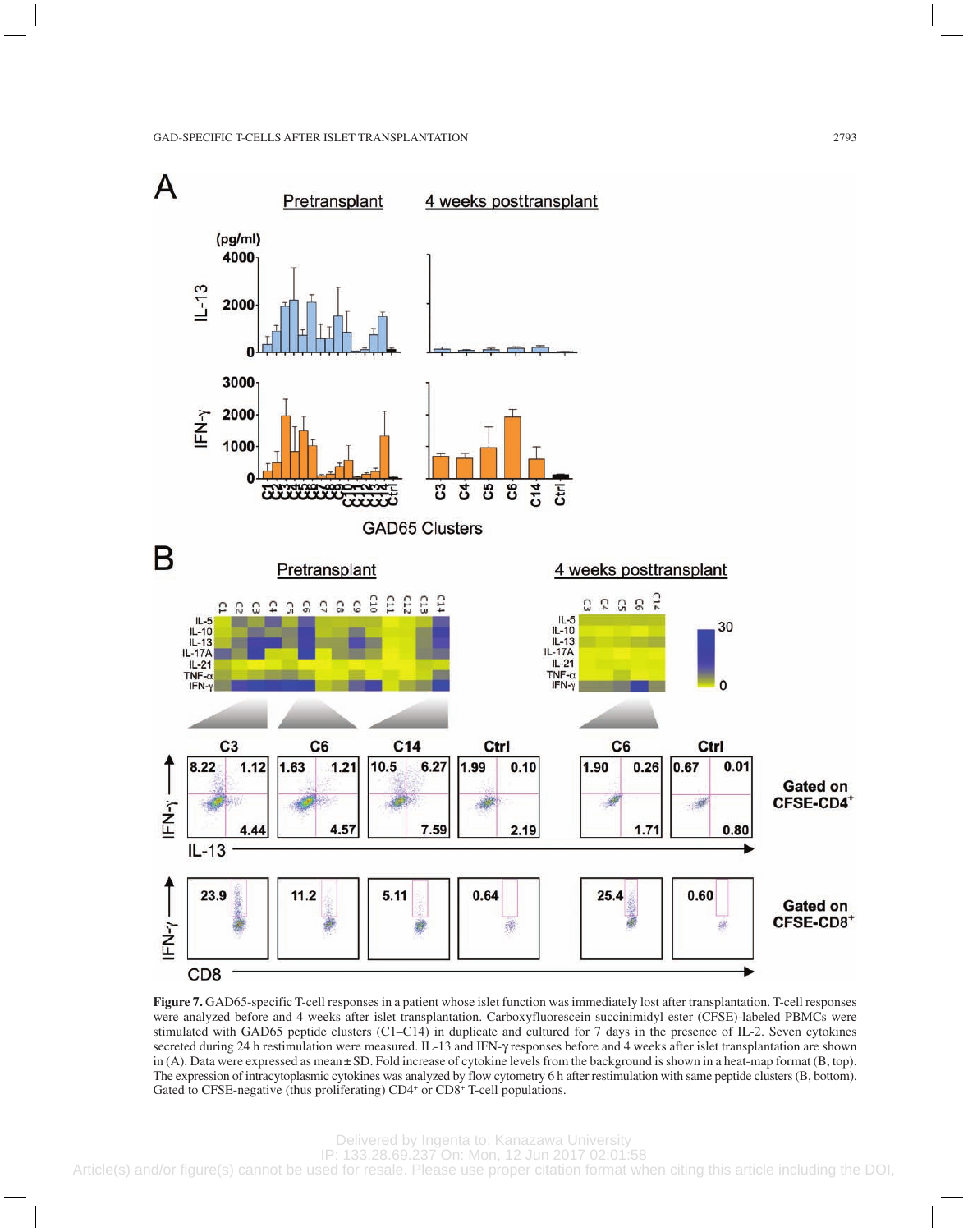

**Figure 7.** GAD65-specific T-cell responses in a patient whose islet function was immediately lost after transplantation. T-cell responses were analyzed before and 4 weeks after islet transplantation. Carboxyfluorescein succinimidyl ester (CFSE)-labeled PBMCs were stimulated with GAD65 peptide clusters (C1–C14) in duplicate and cultured for 7 days in the presence of IL-2. Seven cytokines secreted during 24 h restimulation were measured. IL-13 and IFN- $\gamma$  responses before and 4 weeks after islet transplantation are shown in (A). Data were expressed as mean±SD. Fold increase of cytokine levels from the background is shown in a heat-map format (B, top). The expression of intracytoplasmic cytokines was analyzed by flow cytometry 6 h after restimulation with same peptide clusters (B, bottom). Gated to CFSE-negative (thus proliferating) CD4<sup>+</sup> or CD8<sup>+</sup> T-cell populations.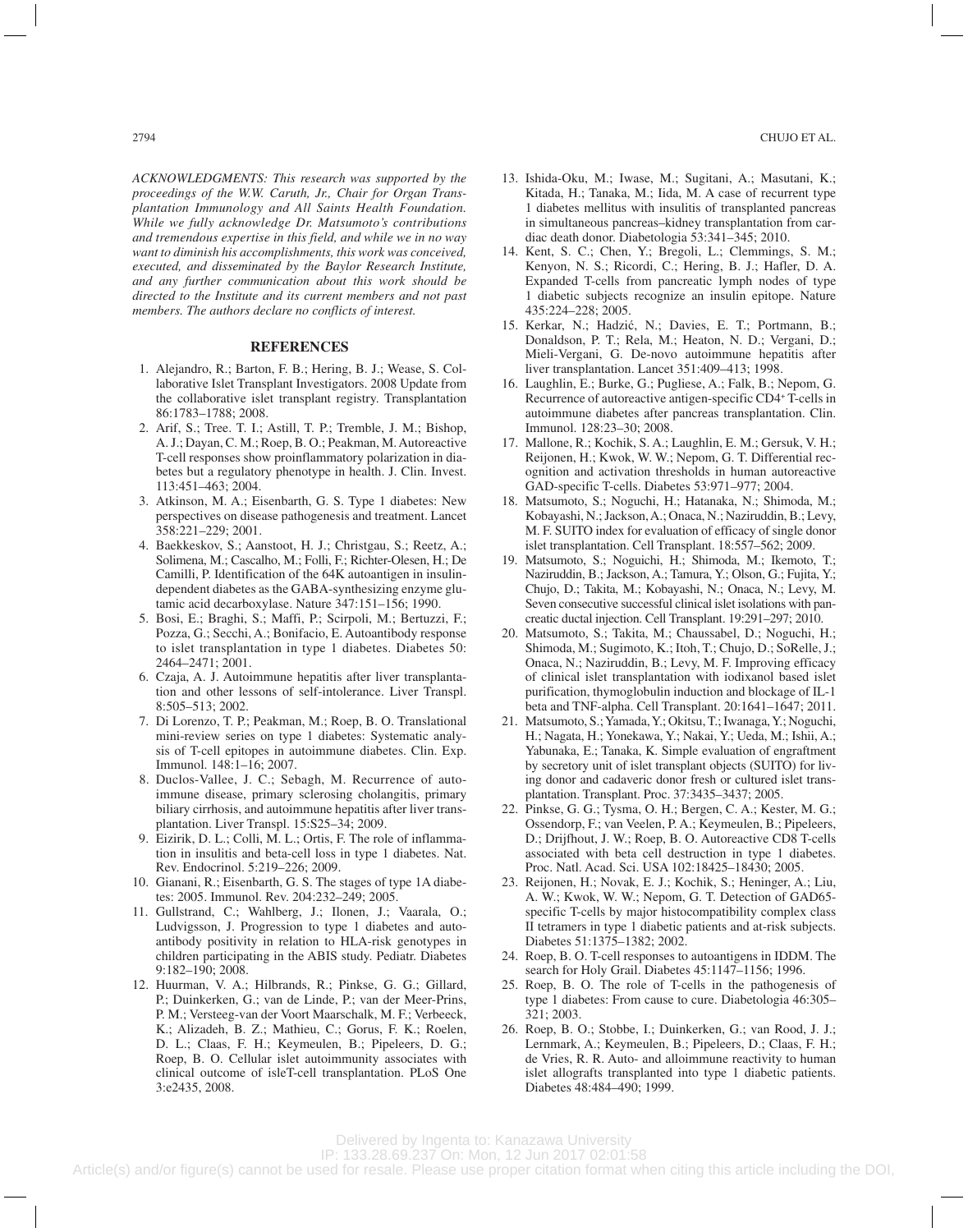*ACKNOWLEDGMENTS: This research was supported by the proceedings of the W.W. Caruth, Jr., Chair for Organ Transplantation Immunology and All Saints Health Foundation. While we fully acknowledge Dr. Matsumoto's contributions and tremendous expertise in this field, and while we in no way want to diminish his accomplishments, this work was conceived, executed, and disseminated by the Baylor Research Institute, and any further communication about this work should be directed to the Institute and its current members and not past members. The authors declare no conflicts of interest.* 

#### **REFERENCES**

- 1. Alejandro, R.; Barton, F. B.; Hering, B. J.; Wease, S. Collaborative Islet Transplant Investigators. 2008 Update from the collaborative islet transplant registry. Transplantation 86:1783–1788; 2008.
- 2. Arif, S.; Tree. T. I.; Astill, T. P.; Tremble, J. M.; Bishop, A.J.; Dayan, C. M.; Roep, B. O.; Peakman, M. Autoreactive T-cell responses show proinflammatory polarization in diabetes but a regulatory phenotype in health. J. Clin. Invest. 113:451–463; 2004.
- 3. Atkinson, M. A.; Eisenbarth, G. S. Type 1 diabetes: New perspectives on disease pathogenesis and treatment. Lancet 358:221–229; 2001.
- 4. Baekkeskov, S.; Aanstoot, H. J.; Christgau, S.; Reetz, A.; Solimena, M.; Cascalho, M.; Folli, F.; Richter-Olesen, H.; De Camilli, P. Identification of the 64K autoantigen in insulindependent diabetes as the GABA-synthesizing enzyme glutamic acid decarboxylase. Nature 347:151–156; 1990.
- 5. Bosi, E.; Braghi, S.; Maffi, P.; Scirpoli, M.; Bertuzzi, F.; Pozza, G.; Secchi, A.; Bonifacio, E. Autoantibody response to islet transplantation in type 1 diabetes. Diabetes 50: 2464–2471; 2001.
- 6. Czaja, A. J. Autoimmune hepatitis after liver transplantation and other lessons of self-intolerance. Liver Transpl. 8:505–513; 2002.
- 7. Di Lorenzo, T. P.; Peakman, M.; Roep, B. O. Translational mini-review series on type 1 diabetes: Systematic analysis of T-cell epitopes in autoimmune diabetes. Clin. Exp. Immunol. 148:1–16; 2007.
- 8. Duclos-Vallee, J. C.; Sebagh, M. Recurrence of autoimmune disease, primary sclerosing cholangitis, primary biliary cirrhosis, and autoimmune hepatitis after liver transplantation. Liver Transpl. 15:S25–34; 2009.
- 9. Eizirik, D. L.; Colli, M. L.; Ortis, F. The role of inflammation in insulitis and beta-cell loss in type 1 diabetes. Nat. Rev. Endocrinol. 5:219–226; 2009.
- 10. Gianani, R.; Eisenbarth, G. S. The stages of type 1A diabetes: 2005. Immunol. Rev. 204:232–249; 2005.
- 11. Gullstrand, C.; Wahlberg, J.; Ilonen, J.; Vaarala, O.; Ludvigsson, J. Progression to type 1 diabetes and autoantibody positivity in relation to HLA-risk genotypes in children participating in the ABIS study. Pediatr. Diabetes 9:182–190; 2008.
- 12. Huurman, V. A.; Hilbrands, R.; Pinkse, G. G.; Gillard, P.; Duinkerken, G.; van de Linde, P.; van der Meer-Prins, P. M.; Versteeg-van der Voort Maarschalk, M. F.; Verbeeck, K.; Alizadeh, B. Z.; Mathieu, C.; Gorus, F. K.; Roelen, D. L.; Claas, F. H.; Keymeulen, B.; Pipeleers, D. G.; Roep, B. O. Cellular islet autoimmunity associates with clinical outcome of isleT-cell transplantation. PLoS One 3:e2435, 2008.
- 13. Ishida-Oku, M.; Iwase, M.; Sugitani, A.; Masutani, K.; Kitada, H.; Tanaka, M.; Iida, M. A case of recurrent type 1 diabetes mellitus with insulitis of transplanted pancreas in simultaneous pancreas–kidney transplantation from cardiac death donor. Diabetologia 53:341–345; 2010.
- 14. Kent, S. C.; Chen, Y.; Bregoli, L.; Clemmings, S. M.; Kenyon, N. S.; Ricordi, C.; Hering, B. J.; Hafler, D. A. Expanded T-cells from pancreatic lymph nodes of type 1 diabetic subjects recognize an insulin epitope. Nature 435:224–228; 2005.
- 15. Kerkar, N.; Hadzić, N.; Davies, E. T.; Portmann, B.; Donaldson, P. T.; Rela, M.; Heaton, N. D.; Vergani, D.; Mieli-Vergani, G. De-novo autoimmune hepatitis after liver transplantation. Lancet 351:409–413; 1998.
- 16. Laughlin, E.; Burke, G.; Pugliese, A.; Falk, B.; Nepom, G. Recurrence of autoreactive antigen-specific CD4+ T-cells in autoimmune diabetes after pancreas transplantation. Clin. Immunol. 128:23–30; 2008.
- 17. Mallone, R.; Kochik, S. A.; Laughlin, E. M.; Gersuk, V. H.; Reijonen, H.; Kwok, W. W.; Nepom, G. T. Differential recognition and activation thresholds in human autoreactive GAD-specific T-cells. Diabetes 53:971–977; 2004.
- 18. Matsumoto, S.; Noguchi, H.; Hatanaka, N.; Shimoda, M.; Kobayashi, N.; Jackson, A.; Onaca, N.; Naziruddin, B.; Levy, M. F. SUITO index for evaluation of efficacy of single donor islet transplantation. Cell Transplant. 18:557–562; 2009.
- 19. Matsumoto, S.; Noguichi, H.; Shimoda, M.; Ikemoto, T.; Naziruddin, B.; Jackson, A.; Tamura, Y.; Olson, G.; Fujita, Y.; Chujo, D.; Takita, M.; Kobayashi, N.; Onaca, N.; Levy, M. Seven consecutive successful clinical islet isolations with pancreatic ductal injection. Cell Transplant. 19:291–297; 2010.
- 20. Matsumoto, S.; Takita, M.; Chaussabel, D.; Noguchi, H.; Shimoda, M.; Sugimoto, K.; Itoh, T.; Chujo, D.; SoRelle, J.; Onaca, N.; Naziruddin, B.; Levy, M. F. Improving efficacy of clinical islet transplantation with iodixanol based islet purification, thymoglobulin induction and blockage of IL-1 beta and TNF-alpha. Cell Transplant. 20:1641–1647; 2011.
- 21. Matsumoto, S.; Yamada, Y.; Okitsu, T.; Iwanaga, Y.; Noguchi, H.; Nagata, H.; Yonekawa, Y.; Nakai, Y.; Ueda, M.; Ishii, A.; Yabunaka, E.; Tanaka, K. Simple evaluation of engraftment by secretory unit of islet transplant objects (SUITO) for living donor and cadaveric donor fresh or cultured islet transplantation. Transplant. Proc. 37:3435–3437; 2005.
- 22. Pinkse, G. G.; Tysma, O. H.; Bergen, C. A.; Kester, M. G.; Ossendorp, F.; van Veelen, P. A.; Keymeulen, B.; Pipeleers, D.; Drijfhout, J. W.; Roep, B. O. Autoreactive CD8 T-cells associated with beta cell destruction in type 1 diabetes. Proc. Natl. Acad. Sci. USA 102:18425–18430; 2005.
- 23. Reijonen, H.; Novak, E. J.; Kochik, S.; Heninger, A.; Liu, A. W.; Kwok, W. W.; Nepom, G. T. Detection of GAD65 specific T-cells by major histocompatibility complex class II tetramers in type 1 diabetic patients and at-risk subjects. Diabetes 51:1375–1382; 2002.
- 24. Roep, B. O. T-cell responses to autoantigens in IDDM. The search for Holy Grail. Diabetes 45:1147–1156; 1996.
- 25. Roep, B. O. The role of T-cells in the pathogenesis of type 1 diabetes: From cause to cure. Diabetologia 46:305– 321; 2003.
- 26. Roep, B. O.; Stobbe, I.; Duinkerken, G.; van Rood, J. J.; Lernmark, A.; Keymeulen, B.; Pipeleers, D.; Claas, F. H.; de Vries, R. R. Auto- and alloimmune reactivity to human islet allografts transplanted into type 1 diabetic patients. Diabetes 48:484–490; 1999.

Article(s) and/or figure(s) cannot be used for resale. Please use proper citation format when citing this article including the DOI,